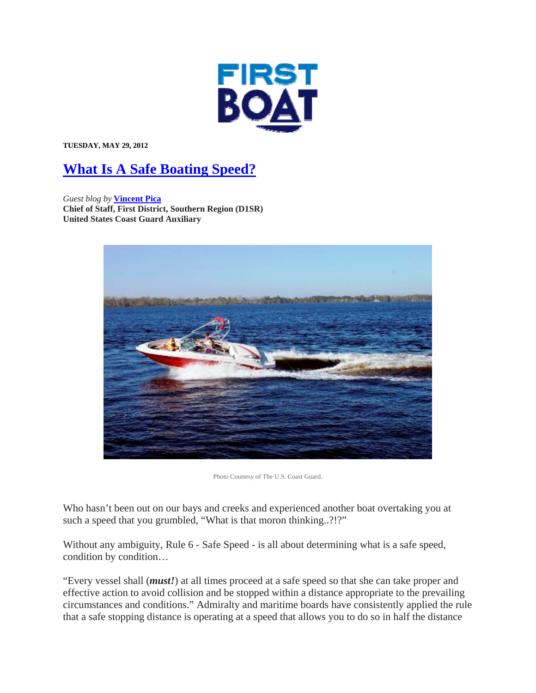

**TUESDAY, MAY 29, 2012** 

## **What Is A Safe Boating Speed?**

*Guest blog by* **Vincent Pica Chief of Staff, First District, Southern Region (D1SR) United States Coast Guard Auxiliary**



Photo Courtesy of The U.S. Coast Guard.

Who hasn't been out on our bays and creeks and experienced another boat overtaking you at such a speed that you grumbled, "What is that moron thinking..?!?"

Without any ambiguity, Rule 6 - Safe Speed - is all about determining what is a safe speed, condition by condition…

"Every vessel shall (*must!*) at all times proceed at a safe speed so that she can take proper and effective action to avoid collision and be stopped within a distance appropriate to the prevailing circumstances and conditions." Admiralty and maritime boards have consistently applied the rule that a safe stopping distance is operating at a speed that allows you to do so in half the distance